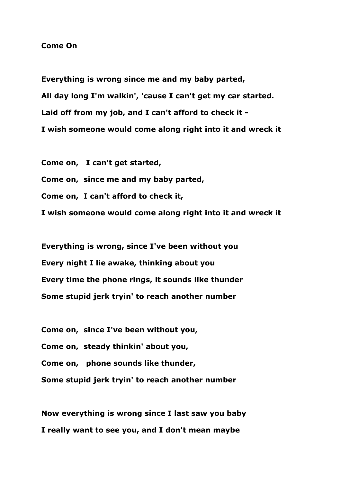## **Come On**

**Everything is wrong since me and my baby parted, All day long I'm walkin', 'cause I can't get my car started. Laid off from my job, and I can't afford to check it - I wish someone would come along right into it and wreck it**

**Come on, I can't get started,**

**Come on, since me and my baby parted,**

**Come on, I can't afford to check it,**

**I wish someone would come along right into it and wreck it**

**Everything is wrong, since I've been without you Every night I lie awake, thinking about you Every time the phone rings, it sounds like thunder Some stupid jerk tryin' to reach another number**

**Come on, since I've been without you, Come on, steady thinkin' about you, Come on, phone sounds like thunder, Some stupid jerk tryin' to reach another number**

**Now everything is wrong since I last saw you baby I really want to see you, and I don't mean maybe**